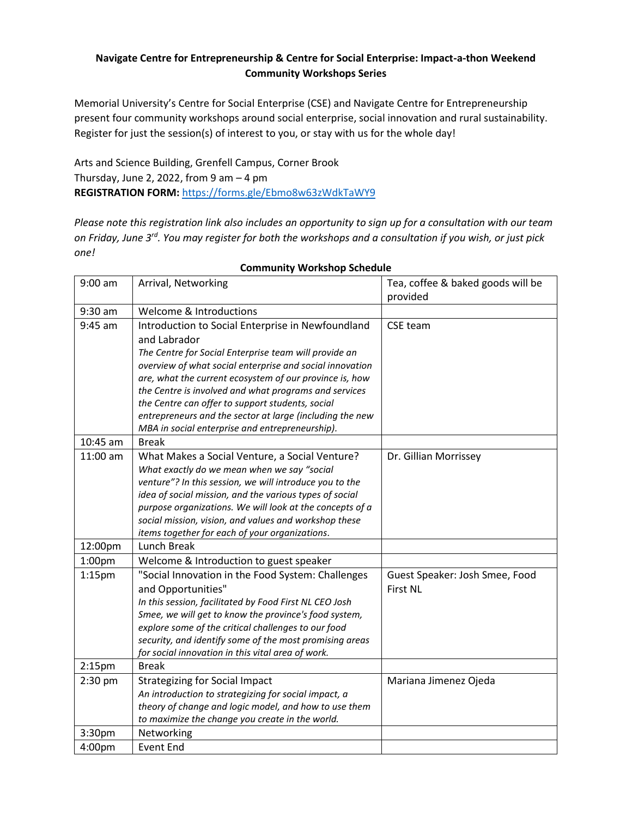### **Navigate Centre for Entrepreneurship & Centre for Social Enterprise: Impact-a-thon Weekend Community Workshops Series**

Memorial University's Centre for Social Enterprise (CSE) and Navigate Centre for Entrepreneurship present four community workshops around social enterprise, social innovation and rural sustainability. Register for just the session(s) of interest to you, or stay with us for the whole day!

Arts and Science Building, Grenfell Campus, Corner Brook Thursday, June 2, 2022, from 9 am  $-4$  pm **REGISTRATION FORM:** <https://forms.gle/Ebmo8w63zWdkTaWY9>

*Please note this registration link also includes an opportunity to sign up for a consultation with our team on Friday, June 3rd. You may register for both the workshops and a consultation if you wish, or just pick one!* 

| $9:00$ am          | Arrival, Networking                                      | Tea, coffee & baked goods will be |
|--------------------|----------------------------------------------------------|-----------------------------------|
|                    |                                                          | provided                          |
| 9:30 am            | Welcome & Introductions                                  |                                   |
| $9:45$ am          | Introduction to Social Enterprise in Newfoundland        | CSE team                          |
|                    | and Labrador                                             |                                   |
|                    | The Centre for Social Enterprise team will provide an    |                                   |
|                    | overview of what social enterprise and social innovation |                                   |
|                    | are, what the current ecosystem of our province is, how  |                                   |
|                    | the Centre is involved and what programs and services    |                                   |
|                    | the Centre can offer to support students, social         |                                   |
|                    | entrepreneurs and the sector at large (including the new |                                   |
|                    | MBA in social enterprise and entrepreneurship).          |                                   |
| 10:45 am           | <b>Break</b>                                             |                                   |
| 11:00 am           | What Makes a Social Venture, a Social Venture?           | Dr. Gillian Morrissey             |
|                    | What exactly do we mean when we say "social              |                                   |
|                    | venture"? In this session, we will introduce you to the  |                                   |
|                    | idea of social mission, and the various types of social  |                                   |
|                    | purpose organizations. We will look at the concepts of a |                                   |
|                    | social mission, vision, and values and workshop these    |                                   |
|                    | items together for each of your organizations.           |                                   |
| 12:00pm            | Lunch Break                                              |                                   |
| 1:00pm             | Welcome & Introduction to guest speaker                  |                                   |
| 1:15 <sub>pm</sub> | "Social Innovation in the Food System: Challenges        | Guest Speaker: Josh Smee, Food    |
|                    | and Opportunities"                                       | <b>First NL</b>                   |
|                    | In this session, facilitated by Food First NL CEO Josh   |                                   |
|                    | Smee, we will get to know the province's food system,    |                                   |
|                    | explore some of the critical challenges to our food      |                                   |
|                    | security, and identify some of the most promising areas  |                                   |
|                    | for social innovation in this vital area of work.        |                                   |
| 2:15 <sub>pm</sub> | <b>Break</b>                                             |                                   |
| $2:30$ pm          | <b>Strategizing for Social Impact</b>                    | Mariana Jimenez Ojeda             |
|                    | An introduction to strategizing for social impact, a     |                                   |
|                    | theory of change and logic model, and how to use them    |                                   |
|                    | to maximize the change you create in the world.          |                                   |
| 3:30pm             | Networking                                               |                                   |
| 4:00pm             | <b>Event End</b>                                         |                                   |

#### **Community Workshop Schedule**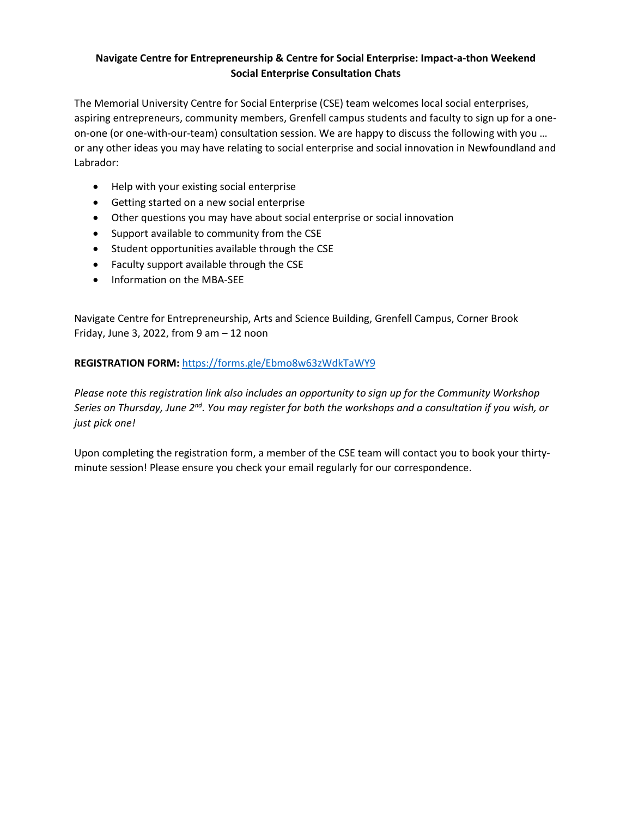### **Navigate Centre for Entrepreneurship & Centre for Social Enterprise: Impact-a-thon Weekend Social Enterprise Consultation Chats**

The Memorial University Centre for Social Enterprise (CSE) team welcomes local social enterprises, aspiring entrepreneurs, community members, Grenfell campus students and faculty to sign up for a oneon-one (or one-with-our-team) consultation session. We are happy to discuss the following with you … or any other ideas you may have relating to social enterprise and social innovation in Newfoundland and Labrador:

- Help with your existing social enterprise
- Getting started on a new social enterprise
- Other questions you may have about social enterprise or social innovation
- Support available to community from the CSE
- Student opportunities available through the CSE
- Faculty support available through the CSE
- Information on the MBA-SEE

Navigate Centre for Entrepreneurship, Arts and Science Building, Grenfell Campus, Corner Brook Friday, June 3, 2022, from 9 am  $-12$  noon

# **REGISTRATION FORM:** <https://forms.gle/Ebmo8w63zWdkTaWY9>

*Please note this registration link also includes an opportunity to sign up for the Community Workshop*   $S$ eries on Thursday, June 2 $^{\text{nd}}$ . You may register for both the workshops and a consultation if you wish, or *just pick one!* 

Upon completing the registration form, a member of the CSE team will contact you to book your thirtyminute session! Please ensure you check your email regularly for our correspondence.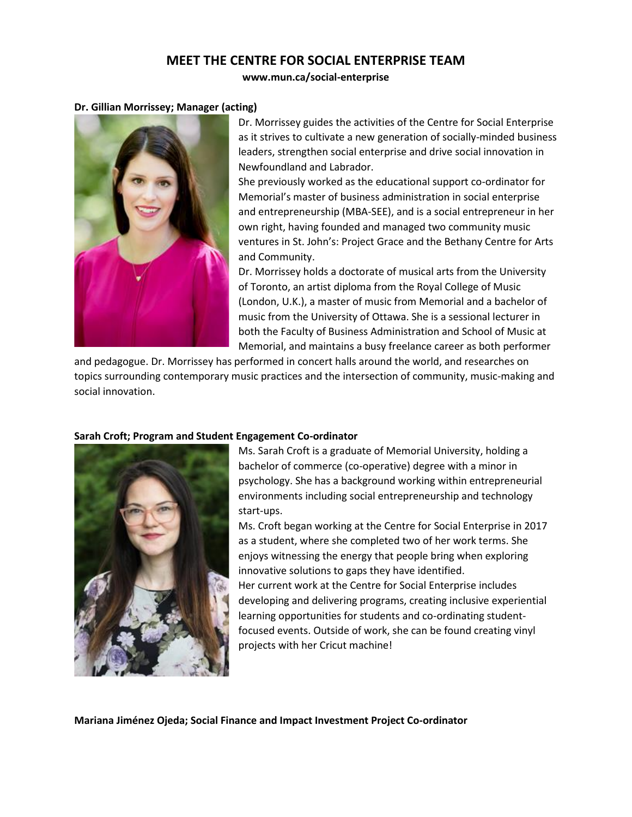# **MEET THE CENTRE FOR SOCIAL ENTERPRISE TEAM**

#### **www.mun.ca/social-enterprise**

#### **Dr. Gillian Morrissey; Manager (acting)**



Dr. Morrissey guides the activities of the Centre for Social Enterprise as it strives to cultivate a new generation of socially-minded business leaders, strengthen social enterprise and drive social innovation in Newfoundland and Labrador.

She previously worked as the educational support co-ordinator for Memorial's master of business administration in social enterprise and entrepreneurship (MBA-SEE), and is a social entrepreneur in her own right, having founded and managed two community music ventures in St. John's: Project Grace and the Bethany Centre for Arts and Community.

Dr. Morrissey holds a doctorate of musical arts from the University of Toronto, an artist diploma from the Royal College of Music (London, U.K.), a master of music from Memorial and a bachelor of music from the University of Ottawa. She is a sessional lecturer in both the Faculty of Business Administration and School of Music at Memorial, and maintains a busy freelance career as both performer

and pedagogue. Dr. Morrissey has performed in concert halls around the world, and researches on topics surrounding contemporary music practices and the intersection of community, music-making and social innovation.



#### **Sarah Croft; Program and Student Engagement Co-ordinator**

Ms. Sarah Croft is a graduate of Memorial University, holding a bachelor of commerce (co-operative) degree with a minor in psychology. She has a background working within entrepreneurial environments including social entrepreneurship and technology start-ups.

Ms. Croft began working at the Centre for Social Enterprise in 2017 as a student, where she completed two of her work terms. She enjoys witnessing the energy that people bring when exploring innovative solutions to gaps they have identified.

Her current work at the Centre for Social Enterprise includes developing and delivering programs, creating inclusive experiential learning opportunities for students and co-ordinating studentfocused events. Outside of work, she can be found creating vinyl projects with her Cricut machine!

**Mariana Jiménez Ojeda; Social Finance and Impact Investment Project Co-ordinator**